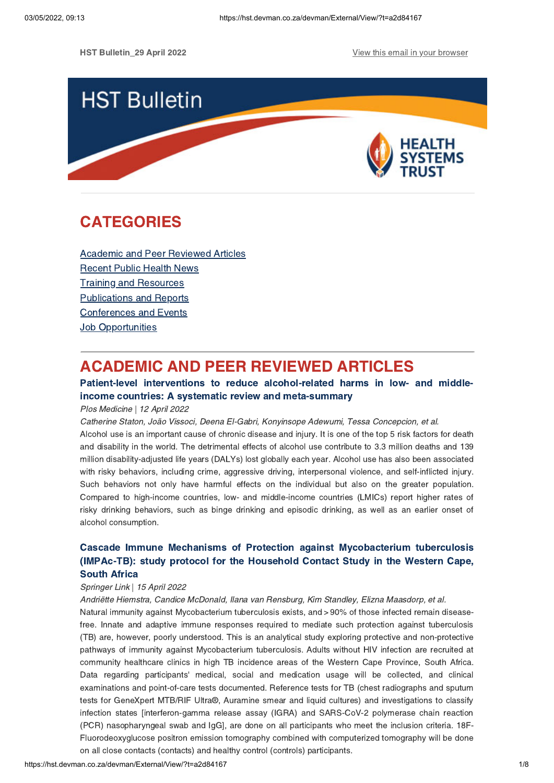

# **CATEGORIES** CATEGORIES<br>CATEGORIES<br>CATEGORIES

Academic and Peer Reviewed Articles Recent Public Health News Training and Resources Publications and Reports Conferences and Events **Job Opportunities** 

## **ACADEMIC AND PEER REVIEWED ARTICLES**

#### Patient-level interventions to reduce alcohol-related harms in low- and middleincome countries: A systematic review and meta-summary

### income countries: A systematic review and meta-summary Plos Medicine | 12 April 2022

Catherine Staton, João Vissoci, Deena El-Gabri, Konyinsope Adewumi, Tessa Concepcion, et al.

Alcohol use is an important cause of chronic disease and injury. It is one of the top 5 risk factors for death and disability in the world. The detrimental effects of alcohol use contribute to 3.3 million deaths and 139 million disability-adjusted life years (DALYs) lost globally each year. Alcohol use has also been associated with risky behaviors, including crime, aggressive driving, interpersonal violence, and self-inflicted injury. Such behaviors not only have harmful effects on the individual but also on the greater population. Compared to high-income countries, low- and middle-income countries (LMICs) report higher rates of risky drinking behaviors, such as binge drinking and episodic drinking, as well as an earlier onset of alcohol consumption.

# Cascade Immune Mechanisms of Protection against [Mycobacterium](https://hst.devman.co.za/devman/external/?t=a468654c) tuberculosis (IMPAc-TB): study protocol for the Household Contact Study in the Western Cape, (IMPAC-TB): study protocol for the Household Contact Study in the Western Cape,

### Springer Link | 15 April 2022

Andriëtte Hiemstra, Candice McDonald, Ilana van Rensburg, Kim Standley, Elizna Maasdorp, et al.

Natural immunity against Mycobacterium tuberculosis exists, and > 90% of those infected remain diseasefree. Innate and adaptive immune responses required to mediate such protection against tuberculosis (TB) are, however, poorly understood. This is an analytical study exploring protective and non-protective pathways of immunity against Mycobacterium tuberculosis. Adults without HIV infection are recruited at community healthcare clinics in high TB incidence areas of the Western Cape Province, South Africa. Data regarding participants' medical, social and medication usage will be collected, and clinical examinations and point-of-care tests documented. Reference tests for TB (chest radiographs and sputum tests for GeneXpert MTB/RIF Ultra®, Auramine smear and liquid cultures) and investigations to classify infection states [interferon-gamma release assay (IGRA) and SARS-CoV-2 polymerase chain reaction (PCR) nasopharyngeal swab and IgG], are done on all participants who meet the inclusion criteria. 18F-Fluorodeoxyglucose positron emission tomography combined with computerized tomography will be done on all close contacts (contacts) and healthy control (controls) participants.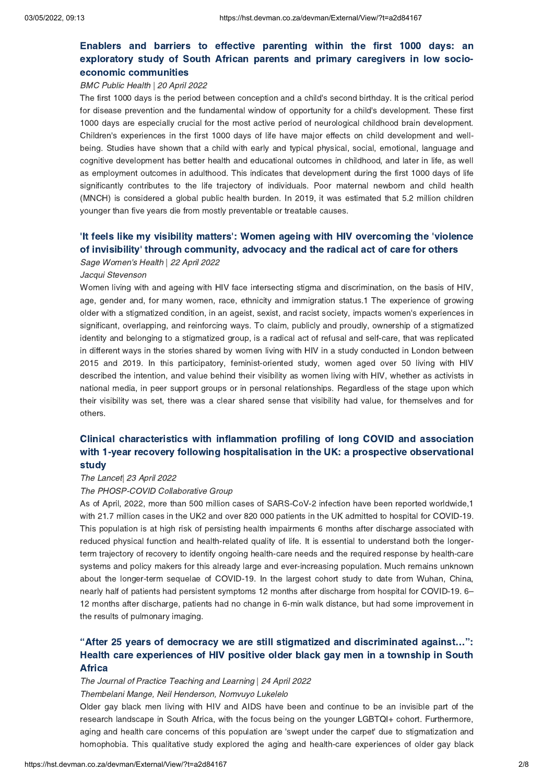# Enablers and barriers to effective parenting within the first 1000 days: an exploratory study of South African parents and primary caregivers in low socioeconomic communities

### economic communities BMC Public Health | 20 April 2022

The first 1000 days is the period between conception and a child's second birthday. It is the critical period for disease prevention and the fundamental window of opportunity for a child's development. These first 1000 days are especially crucial for the most active period of neurological childhood brain development. Children's experiences in the first 1000 days of life have major effects on child development and wellbeing. Studies have shown that a child with early and typical physical, social, emotional, language and cognitive development has better health and educational outcomes in childhood, and later in life, as well as employment outcomes in adulthood. This indicates that development during the first 1000 days of life significantly contributes to the life trajectory of individuals. Poor maternal newborn and child health (MNCH) is considered a global public health burden. In 2019, it was estimated that 5.2 million children younger than five years die from mostly preventable or treatable causes.

## 'It feels like my visibility matters': Women ageing with HIV overcoming the ['violence](https://hst.devman.co.za/devman/external/?t=15585b86)<br>of invisibility' through community, advocacy and the radical act of care for others **of invisibility' through community, advocacy and the radical act of care for others**<br>*Sage Women's Health* | *22 April 2022*

Sage Women's Health | 22 April 2022

#### Jacqui Stevenson

Women living with and ageing with HIV face intersecting stigma and discrimination, on the basis of HIV, age, gender and, for many women, race, ethnicity and immigration status.1 The experience of growing older with a stigmatized condition, in an ageist, sexist, and racist society, impacts women's experiences in significant, overlapping, and reinforcing ways. To claim, publicly and proudly, ownership of a stigmatized identity and belonging to a stigmatized group, is a radical act of refusal and self-care, that was replicated in different ways in the stories shared by women living with HIV in a study conducted in London between 2015 and 2019. In this participatory, feminist-oriented study, women aged over 50 living with HIV described the intention, and value behind their visibility as women living with HIV, whether as activists in national media, in peer support groups or in personal relationships. Regardless of the stage upon which their visibility was set, there was a clear shared sense that visibility had value, for themselves and for others.

## Clinical [characteristics](https://hst.devman.co.za/devman/external/?t=111241e9) with inflammation profiling of long COVID and association<br>with 1-year recovery following hospitalisation in the UK: a prospective observational with 1, year recovery following the primeriment in the UK: a prospective observational study

### The Lancet| 23 April 2022

#### The PHOSP-COVID Collaborative Group

As of April, 2022, more than 500 million cases of SARS-CoV-2 infection have been reported worldwide,1 with 21.7 million cases in the UK2 and over 820 000 patients in the UK admitted to hospital for COVID-19. This population is at high risk of persisting health impairments 6 months after discharge associated with reduced physical function and health-related quality of life. It is essential to understand both the longerterm trajectory of recovery to identify ongoing health-care needs and the required response by health-care systems and policy makers for this already large and ever-increasing population. Much remains unknown about the longer-term sequelae of COVID-19. In the largest cohort study to date from Wuhan, China, nearly half of patients had persistent symptoms 12 months after discharge from hospital for COVID-19. 6– 12 months after discharge, patients had no change in 6-min walk distance, but had some improvement in the results of pulmonary imaging.

## ["After](https://hst.devman.co.za/devman/external/?t=83f2f4c8) 25 years of democracy we are still stigmatized and discriminated against...":<br>Health care experiences of HIV positive older black gay men in a township in South Health care experiences of the positive older black gay men in a township in South<br>Africa

Africa The Journal of Practice Teaching and Learning | 24 April 2022 Thembelani Mange, Neil Henderson, Nomvuyo Lukelelo

Older gay black men living with HIV and AIDS have been and continue to be an invisible part of the research landscape in South Africa, with the focus being on the younger LGBTQI+ cohort. Furthermore, aging and health care concerns of this population are 'swept under the carpet' due to stigmatization and homophobia. This qualitative study explored the aging and health-care experiences of older gay black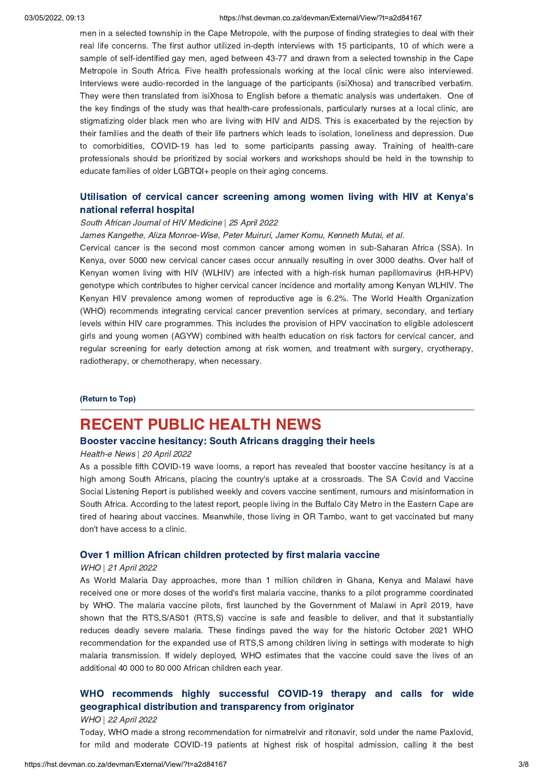#### 03/05/2022, 09:13 https://hst.devman.co.za/devman/External/View/?t=a2d84167

men in a selected township in the Cape Metropole, with the purpose of finding strategies to deal with their real life concerns. The first author utilized in-depth interviews with 15 participants, 10 of which were a sample of self-identified gay men, aged between 43-77 and drawn from a selected township in the Cape Metropole in South Africa. Five health professionals working at the local clinic were also interviewed. Interviews were audio-recorded in the language of the participants (isiXhosa) and transcribed verbatim. They were then translated from isiXhosa to English before a thematic analysis was undertaken. One of the key findings of the study was that health-care professionals, particularly nurses at a local clinic, are stigmatizing older black men who are living with HIV and AIDS. This is exacerbated by the rejection by their families and the death of their life partners which leads to isolation, loneliness and depression. Due to comorbidities, COVID-19 has led to some participants passing away. Training of health-care professionals should be prioritized by social workers and workshops should be held in the township to educate families of older LGBTQI+ people on their aging concerns.

# [Utilisation](https://hst.devman.co.za/devman/external/?t=694d3133) of cervical cancer screening among women living with HIV at Kenya's

### national referral hospital South African Journal of HIV Medicine | 25 April 2022

James Kangethe, Aliza Monroe-Wise, Peter Muiruri, Jamer Komu, Kenneth Mutai, et al.

Cervical cancer is the second most common cancer among women in sub-Saharan Africa (SSA). In Kenya, over 5000 new cervical cancer cases occur annually resulting in over 3000 deaths. Over half of Kenyan women living with HIV (WLHIV) are infected with a high-risk human papillomavirus (HR-HPV) genotype which contributes to higher cervical cancer incidence and mortality among Kenyan WLHIV. The Kenyan HIV prevalence among women of reproductive age is 6.2%. The World Health Organization (WHO) recommends integrating cervical cancer prevention services at primary, secondary, and tertiary levels within HIV care programmes. This includes the provision of HPV vaccination to eligible adolescent girls and young women (AGYW) combined with health education on risk factors for cervical cancer, and regular screening for early detection among at risk women, and treatment with surgery, cryotherapy, radiotherapy, or chemotherapy, when necessary.

#### (Return to Top)

### **RECENT PUBLIC HEALTH NEWS**

#### Booster vaccine hesitancy: South Africans dragging their heels

### Booster vaccine hesitancy: South Africans dragging their heels Health-e News | 20 April 2022

As a possible fifth COVID-19 wave looms, a report has revealed that booster vaccine hesitancy is at a high among South Africans, placing the country's uptake at a crossroads. The SA Covid and Vaccine Social Listening Report is published weekly and covers vaccine sentiment, rumours and misinformation in South Africa. According to the latest report, people living in the Buffalo City Metro in the Eastern Cape are tired of hearing about vaccines. Meanwhile, those living in OR Tambo, want to get vaccinated but many don't have access to a clinic.

### Over 1 million African children protected by first malaria vaccine WHO | 21 April 2022

As World Malaria Day approaches, more than 1 million children in Ghana, Kenya and Malawi have received one or more doses of the world's first malaria vaccine, thanks to a pilot programme coordinated by WHO. The malaria vaccine pilots, first launched by the Government of Malawi in April 2019, have shown that the RTS,S/AS01 (RTS,S) vaccine is safe and feasible to deliver, and that it substantially reduces deadly severe malaria. These findings paved the way for the historic October 2021 WHO recommendation for the expanded use of RTS,S among children living in settings with moderate to high malaria transmission. If widely deployed, WHO estimates that the vaccine could save the lives of an additional 40 000 to 80 000 African children each year.

## WHO [recommends](https://hst.devman.co.za/devman/external/?t=26e744f) highly successful COVID-19 therapy and calls for wide geographical distribution and transparency from originator  $W$ HO | 22 April 2022

Today, WHO made a strong recommendation for nirmatrelvir and ritonavir, sold under the name Paxlovid, for mild and moderate COVID-19 patients at highest risk of hospital admission, calling it the best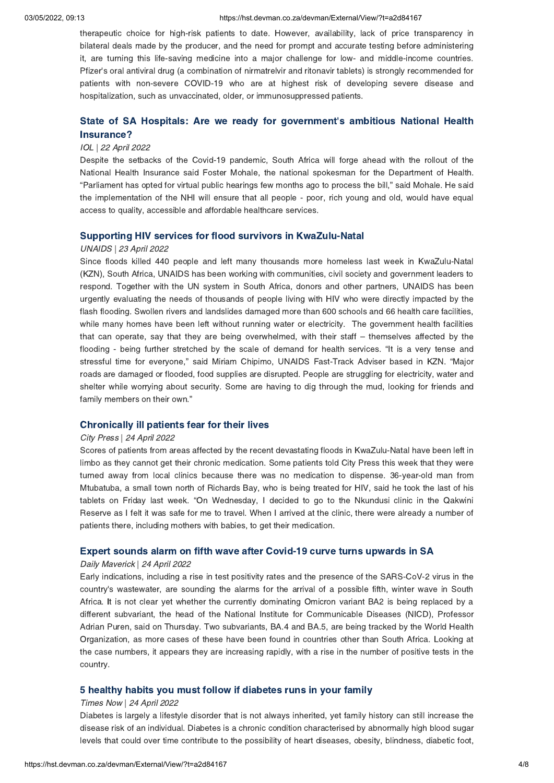#### 03/05/2022, 09:13 https://hst.devman.co.za/devman/External/View/?t=a2d84167

therapeutic choice for high-risk patients to date. However, availability, lack of price transparency in bilateral deals made by the producer, and the need for prompt and accurate testing before administering it, are turning this life-saving medicine into a major challenge for low- and middle-income countries. Pfizer's oral antiviral drug (a combination of nirmatrelvir and ritonavir tablets) is strongly recommended for patients with non-severe COVID-19 who are at highest risk of developing severe disease and hospitalization, such as unvaccinated, older, or immunosuppressed patients.

# State of SA Hospitals: Are we ready for [government](https://hst.devman.co.za/devman/external/?t=fe285ab2)'s ambitious National Health

### Insurance? IOL | 22 April 2022

Despite the setbacks of the Covid-19 pandemic, South Africa will forge ahead with the rollout of the National Health Insurance said Foster Mohale, the national spokesman for the Department of Health. "Parliament has opted for virtual public hearings few months ago to process the bill," said Mohale. He said the implementation of the NHI will ensure that all people - poor, rich young and old, would have equal access to quality, accessible and affordable healthcare services.

### Supporting HIV services for flood survivors in KwaZulu-Natal UNAIDS | 23 April 2022

Since floods killed 440 people and left many thousands more homeless last week in KwaZulu-Natal (KZN), South Africa, UNAIDS has been working with communities, civil society and government leaders to respond. Together with the UN system in South Africa, donors and other partners, UNAIDS has been urgently evaluating the needs of thousands of people living with HIV who were directly impacted by the flash flooding. Swollen rivers and landslides damaged more than 600 schools and 66 health care facilities, while many homes have been left without running water or electricity. The government health facilities that can operate, say that they are being overwhelmed, with their staff – themselves affected by the flooding - being further stretched by the scale of demand for health services. "It is a very tense and stressful time for everyone," said Miriam Chipimo, UNAIDS Fast-Track Adviser based in KZN. "Major roads are damaged or flooded, food supplies are disrupted. People are struggling for electricity, water and shelter while worrying about security. Some are having to dig through the mud, looking for friends and family members on their own."

### Chronically ill patients fear for their lives City Press | 24 April 2022

Scores of patients from areas affected by the recent devastating floods in KwaZulu-Natal have been left in limbo as they cannot get their chronic medication. Some patients told City Press this week that they were turned away from local clinics because there was no medication to dispense. 36-year-old man from Mtubatuba, a small town north of Richards Bay, who is being treated for HIV, said he took the last of his tablets on Friday last week. "On Wednesday, I decided to go to the Nkundusi clinic in the Qakwini Reserve as I felt it was safe for me to travel. When I arrived at the clinic, there were already a number of patients there, including mothers with babies, to get their medication.

### Expert sounds alarm on fifth wave after Covid-19 curve turns upwards in SA Daily Maverick | 24 April 2022

Early indications, including a rise in test positivity rates and the presence of the SARS-CoV-2 virus in the country's wastewater, are sounding the alarms for the arrival of a possible fifth, winter wave in South Africa. It is not clear yet whether the currently dominating Omicron variant BA2 is being replaced by <sup>a</sup> different subvariant, the head of the National Institute for Communicable Diseases (NICD), Professor Adrian Puren, said on Thursday. Two subvariants, BA.4 and BA.5, are being tracked by the World Health Organization, as more cases of these have been found in countries other than South Africa. Looking at the case numbers, it appears they are increasing rapidly, with a rise in the number of positive tests in the country.

### 5 healthy habits you must follow if diabetes runs in your family Times Now | 24 April 2022

Diabetes is largely a lifestyle disorder that is not always inherited, yet family history can still increase the disease risk of an individual. Diabetes is a chronic condition characterised by abnormally high blood sugar levels that could over time contribute to the possibility of heart diseases, obesity, blindness, diabetic foot,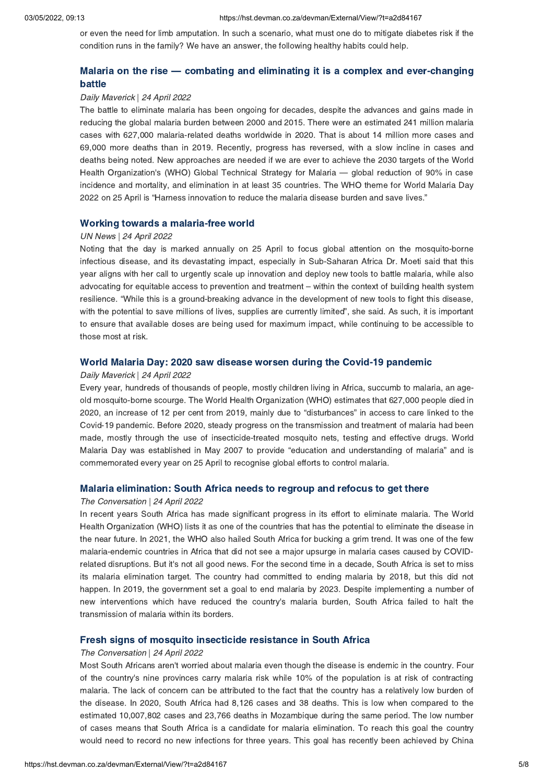or even the need for limb amputation. In such a scenario, what must one do to mitigate diabetes risk if the condition runs in the family? We have an answer, the following healthy habits could help.

# Malaria on the rise — combating and eliminating it is a complex and [ever-changing](https://hst.devman.co.za/devman/external/?t=50939d0d)

### n 1111<br>Daily Maverick | 24 April 2022

The battle to eliminate malaria has been ongoing for decades, despite the advances and gains made in reducing the global malaria burden between 2000 and 2015. There were an estimated 241 million malaria cases with 627,000 malaria-related deaths worldwide in 2020. That is about 14 million more cases and 69,000 more deaths than in 2019. Recently, progress has reversed, with a slow incline in cases and deaths being noted. New approaches are needed if we are ever to achieve the 2030 targets of the World Health Organization's (WHO) Global Technical Strategy for Malaria — global reduction of 90% in case incidence and mortality, and elimination in at least 35 countries. The WHO theme for World Malaria Day 2022 on 25 April is "Harness innovation to reduce the malaria disease burden and save lives."

### UN News | 24 April 2022

Noting that the day is marked annually on 25 April to focus global attention on the mosquito-borne infectious disease, and its devastating impact, especially in Sub-Saharan Africa Dr. Moeti said that this year aligns with her call to urgently scale up innovation and deploy new tools to battle malaria, while also advocating for equitable access to prevention and treatment – within the context of building health system resilience. "While this is a ground-breaking advance in the development of new tools to fight this disease, with the potential to save millions of lives, supplies are currently limited", she said. As such, it is important to ensure that available doses are being used for maximum impact, while continuing to be accessible to those most at risk.

### Daily Maverick | 24 April 2022

Every year, hundreds of thousands of people, mostly children living in Africa, succumb to malaria, an ageold mosquito-borne scourge. The World Health Organization (WHO) estimates that 627,000 people died in 2020, an increase of 12 per cent from 2019, mainly due to "disturbances" in access to care linked to the Covid-19 pandemic. Before 2020, steady progress on the transmission and treatment of malaria had been made, mostly through the use of insecticide-treated mosquito nets, testing and effective drugs. World Malaria Day was established in May 2007 to provide "education and understanding of malaria" and is commemorated every year on 25 April to recognise global efforts to control malaria.

### Malaria elimination: South Africa needs to regroup and refocus to get there The Conversation | 24 April 2022

In recent years South Africa has made significant progress in its effort to eliminate malaria. The World Health Organization (WHO) lists it as one of the countries that has the potential to eliminate the disease in the near future. In 2021, the WHO also hailed South Africa for bucking a grim trend. It was one of the few malaria-endemic countries in Africa that did not see a major upsurge in malaria cases caused by COVIDrelated disruptions. But it's not all good news. For the second time in a decade, South Africa is set to miss its malaria elimination target. The country had committed to ending malaria by 2018, but this did not happen. In 2019, the government set a goal to end malaria by 2023. Despite implementing a number of new interventions which have reduced the country's malaria burden, South Africa failed to halt the transmission of malaria within its borders.

### Fresh signs of mosquito insecticide resistance in South Africa The Conversation | 24 April 2022

Most South Africans aren't worried about malaria even though the disease is endemic in the country. Four of the country's nine provinces carry malaria risk while 10% of the population is at risk of contracting malaria. The lack of concern can be attributed to the fact that the country has a relatively low burden of the disease. In 2020, South Africa had 8,126 cases and 38 deaths. This is low when compared to the estimated 10,007,802 cases and 23,766 deaths in Mozambique during the same period. The low number of cases means that South Africa is a candidate for malaria elimination. To reach this goal the country would need to record no new infections for three years. This goal has recently been achieved by China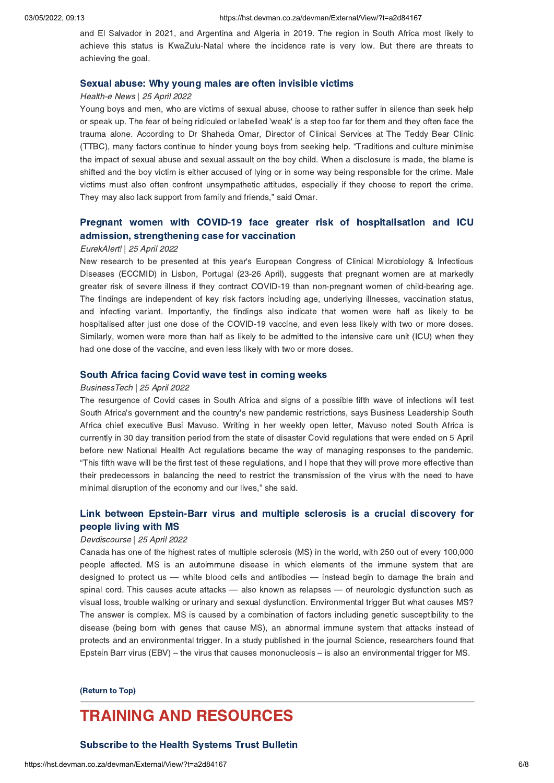and El Salvador in 2021, and Argentina and Algeria in 2019. The region in South Africa most likely to achieve this status is KwaZulu-Natal where the incidence rate is very low. But there are threats to achieving the goal.

### Sexual abuse: Why young males are often invisible victims Health-e News | 25 April 2022

Young boys and men, who are victims of sexual abuse, choose to rather suffer in silence than seek help or speak up. The fear of being ridiculed or labelled 'weak' is a step too far for them and they often face the trauma alone. According to Dr Shaheda Omar, Director of Clinical Services at The Teddy Bear Clinic (TTBC), many factors continue to hinder young boys from seeking help. "Traditions and culture minimise the impact of sexual abuse and sexual assault on the boy child. When a disclosure is made, the blame is shifted and the boy victim is either accused of lying or in some way being responsible for the crime. Male victims must also often confront unsympathetic attitudes, especially if they choose to report the crime. They may also lack support from family and friends," said Omar.

# Pregnant women with COVID-19 face greater risk of [hospitalisation](https://hst.devman.co.za/devman/external/?t=5863aae) and ICU admission, strengthening case for vaccination

### EurekAlert! | 25 April 2022

New research to be presented at this year's European Congress of Clinical Microbiology & Infectious Diseases (ECCMID) in Lisbon, Portugal (23-26 April), suggests that pregnant women are at markedly greater risk of severe illness if they contract COVID-19 than non-pregnant women of child-bearing age. The findings are independent of key risk factors including age, underlying illnesses, vaccination status, and infecting variant. Importantly, the findings also indicate that women were half as likely to be hospitalised after just one dose of the COVID-19 vaccine, and even less likely with two or more doses. Similarly, women were more than half as likely to be admitted to the intensive care unit (ICU) when they had one dose of the vaccine, and even less likely with two or more doses.

### South Africa facing Covid wave test in coming weeks BusinessTech | 25 April 2022

The resurgence of Covid cases in South Africa and signs of a possible fifth wave of infections will test South Africa's government and the country's new pandemic restrictions, says Business Leadership South Africa chief executive Busi Mavuso. Writing in her weekly open letter, Mavuso noted South Africa is currently in 30 day transition period from the state of disaster Covid regulations that were ended on 5 April before new National Health Act regulations became the way of managing responses to the pandemic. "This fifth wave will be the first test of these regulations, and I hope that they will prove more effective than their predecessors in balancing the need to restrict the transmission of the virus with the need to have minimal disruption of the economy and our lives," she said.

# Link between [Epstein-Barr](https://hst.devman.co.za/devman/external/?t=767630e8) virus and multiple sclerosis is a crucial discovery for

### people strang with MS<br>Devdiscourse | 25 April 2022

Canada has one of the highest rates of multiple sclerosis (MS) in the world, with 250 out of every 100,000 people affected. MS is an autoimmune disease in which elements of the immune system that are designed to protect us — white blood cells and antibodies — instead begin to damage the brain and spinal cord. This causes acute attacks — also known as relapses — of neurologic dysfunction such as visual loss, trouble walking or urinary and sexual dysfunction. Environmental trigger But what causes MS? The answer is complex. MS is caused by a combination of factors including genetic susceptibility to the disease (being born with genes that cause MS), an abnormal immune system that attacks instead of protects and an environmental trigger. In a study published in the journal Science, researchers found that Epstein Barr virus (EBV) – the virus that causes mononucleosis – is also an environmental trigger for MS.

## $\overline{\phantom{a}}$

### **TRAINING AND RESOURCES**

#### **Subscribe to the Health Systems Trust Bulletin**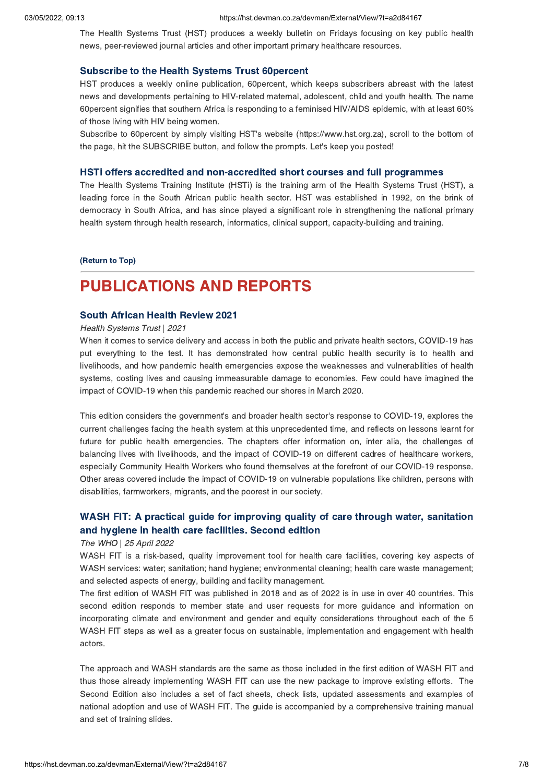The Health Systems Trust (HST) produces a weekly bulletin on Fridays focusing on key public health news, peer-reviewed journal articles and other important primary healthcare resources.

Subscribe to the Health Systems Trust 60percent HST produces a weekly online publication, 60percent, which keeps subscribers abreast with the latest news and developments pertaining to HIV-related maternal, adolescent, child and youth health. The name 60percent signifies that southern Africa is responding to a feminised HIV/AIDS epidemic, with at least 60% of those living with HIV being women.

Subscribe to 60percent by simply visiting HST's website (https://www.hst.org.za), scroll to the bottom of the page, hit the SUBSCRIBE button, and follow the prompts. Let's keep you posted!

The Health Systems Training Institute (HSTi) is the training arm of the Health Systems Trust (HST), a leading force in the South African public health sector. HST was established in 1992, on the brink of democracy in South Africa, and has since played a significant role in strengthening the national primary health system through health research, informatics, clinical support, capacity-building and training.

## $\frac{R}{\sqrt{R}}$

## **PUBLICATIONS AND REPORTS**

#### **South African Health Review 2021**

### Health Systems Trust | 2021

When it comes to service delivery and access in both the public and private health sectors, COVID-19 has put everything to the test. It has demonstrated how central public health security is to health and livelihoods, and how pandemic health emergencies expose the weaknesses and vulnerabilities of health systems, costing lives and causing immeasurable damage to economies. Few could have imagined the impact of COVID-19 when this pandemic reached our shores in March 2020.

This edition considers the government's and broader health sector's response to COVID-19, explores the current challenges facing the health system at this unprecedented time, and reflects on lessons learnt for future for public health emergencies. The chapters offer information on, inter alia, the challenges of balancing lives with livelihoods, and the impact of COVID-19 on different cadres of healthcare workers, especially Community Health Workers who found themselves at the forefront of our COVID-19 response. Other areas covered include the impact of COVID-19 on vulnerable populations like children, persons with disabilities, farmworkers, migrants, and the poorest in our society.

# WASH FIT: A practical guide for [improving](https://hst.devman.co.za/devman/external/?t=3d4bba74) quality of care through water, sanitation and hygiene in health care facilities. Second edition

### and hygiene in health care facilities. Second edition The WHO | 25 April 2022

WASH FIT is a risk-based, quality improvement tool for health care facilities, covering key aspects of WASH services: water; sanitation; hand hygiene; environmental cleaning; health care waste management; and selected aspects of energy, building and facility management.

The first edition of WASH FIT was published in 2018 and as of 2022 is in use in over 40 countries. This second edition responds to member state and user requests for more guidance and information on incorporating climate and environment and gender and equity considerations throughout each of the 5 WASH FIT steps as well as a greater focus on sustainable, implementation and engagement with health actors.

The approach and WASH standards are the same as those included in the first edition of WASH FIT and thus those already implementing WASH FIT can use the new package to improve existing efforts. The Second Edition also includes a set of fact sheets, check lists, updated assessments and examples of national adoption and use of WASH FIT. The guide is accompanied by a comprehensive training manual and set of training slides.